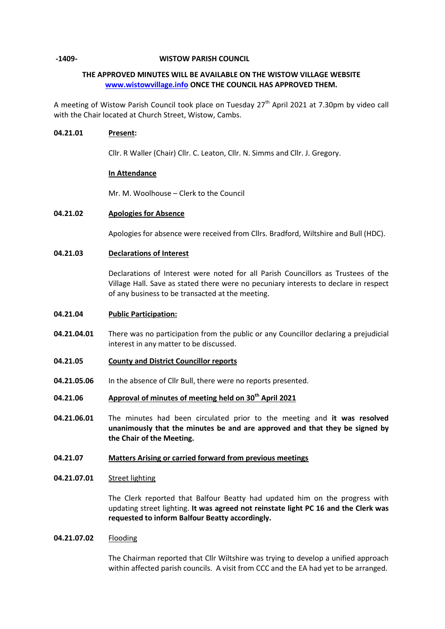### **-1409- WISTOW PARISH COUNCIL**

# **THE APPROVED MINUTES WILL BE AVAILABLE ON THE WISTOW VILLAGE WEBSITE [www.wistowvillage.info](http://www.wistowvillage.info/) ONCE THE COUNCIL HAS APPROVED THEM.**

A meeting of Wistow Parish Council took place on Tuesday 27<sup>th</sup> April 2021 at 7.30pm by video call with the Chair located at Church Street, Wistow, Cambs.

## **04.21.01 Present:**

Cllr. R Waller (Chair) Cllr. C. Leaton, Cllr. N. Simms and Cllr. J. Gregory.

## **In Attendance**

Mr. M. Woolhouse – Clerk to the Council

## **04.21.02 Apologies for Absence**

Apologies for absence were received from Cllrs. Bradford, Wiltshire and Bull (HDC).

## **04.21.03 Declarations of Interest**

Declarations of Interest were noted for all Parish Councillors as Trustees of the Village Hall. Save as stated there were no pecuniary interests to declare in respect of any business to be transacted at the meeting.

#### **04.21.04 Public Participation:**

- **04.21.04.01** There was no participation from the public or any Councillor declaring a prejudicial interest in any matter to be discussed.
- **04.21.05 County and District Councillor reports**
- **04.21.05.06** In the absence of Cllr Bull, there were no reports presented.
- **04.21.06 Approval of minutes of meeting held on 30th April 2021**
- **04.21.06.01** The minutes had been circulated prior to the meeting and **it was resolved unanimously that the minutes be and are approved and that they be signed by the Chair of the Meeting.**

### **04.21.07 Matters Arising or carried forward from previous meetings**

#### **04.21.07.01** Street lighting

The Clerk reported that Balfour Beatty had updated him on the progress with updating street lighting. **It was agreed not reinstate light PC 16 and the Clerk was requested to inform Balfour Beatty accordingly.**

#### **04.21.07.02** Flooding

The Chairman reported that Cllr Wiltshire was trying to develop a unified approach within affected parish councils. A visit from CCC and the EA had yet to be arranged.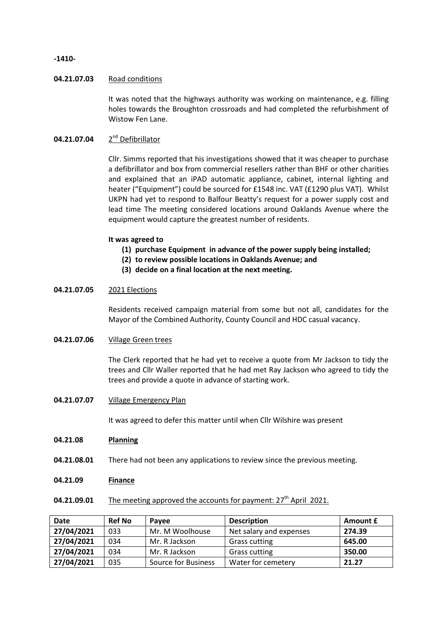### **-1410-**

### **04.21.07.03** Road conditions

It was noted that the highways authority was working on maintenance, e.g. filling holes towards the Broughton crossroads and had completed the refurbishment of Wistow Fen Lane.

### **04.21.07.04** 2 2<sup>nd</sup> Defibrillator

Cllr. Simms reported that his investigations showed that it was cheaper to purchase a defibrillator and box from commercial resellers rather than BHF or other charities and explained that an iPAD automatic appliance, cabinet, internal lighting and heater ("Equipment") could be sourced for £1548 inc. VAT (£1290 plus VAT). Whilst UKPN had yet to respond to Balfour Beatty's request for a power supply cost and lead time The meeting considered locations around Oaklands Avenue where the equipment would capture the greatest number of residents.

### **It was agreed to**

- **(1) purchase Equipment in advance of the power supply being installed;**
- **(2) to review possible locations in Oaklands Avenue; and**
- **(3) decide on a final location at the next meeting.**

# **04.21.07.05** 2021 Elections

Residents received campaign material from some but not all, candidates for the Mayor of the Combined Authority, County Council and HDC casual vacancy.

## **04.21.07.06** Village Green trees

The Clerk reported that he had yet to receive a quote from Mr Jackson to tidy the trees and Cllr Waller reported that he had met Ray Jackson who agreed to tidy the trees and provide a quote in advance of starting work.

**04.21.07.07** Village Emergency Plan

It was agreed to defer this matter until when Cllr Wilshire was present

#### **04.21.08 Planning**

- **04.21.08.01** There had not been any applications to review since the previous meeting.
- **04.21.09 Finance**

# **04.21.09.01** The meeting approved the accounts for payment: 27<sup>th</sup> April 2021.

| <b>Date</b> | <b>Ref No</b> | Pavee                      | <b>Description</b>      | Amount £ |
|-------------|---------------|----------------------------|-------------------------|----------|
| 27/04/2021  | 033           | Mr. M Woolhouse            | Net salary and expenses | 274.39   |
| 27/04/2021  | 034           | Mr. R Jackson              | <b>Grass cutting</b>    | 645.00   |
| 27/04/2021  | 034           | Mr. R Jackson              | <b>Grass cutting</b>    | 350.00   |
| 27/04/2021  | 035           | <b>Source for Business</b> | Water for cemetery      | 21.27    |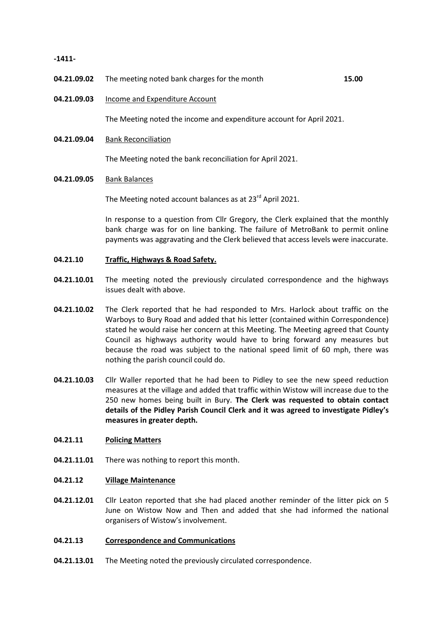**-1411-**

- **04.21.09.02** The meeting noted bank charges for the month **15.00**
	-

**04.21.09.03** Income and Expenditure Account

The Meeting noted the income and expenditure account for April 2021.

**04.21.09.04** Bank Reconciliation

The Meeting noted the bank reconciliation for April 2021.

### **04.21.09.05** Bank Balances

The Meeting noted account balances as at 23<sup>rd</sup> April 2021.

In response to a question from Cllr Gregory, the Clerk explained that the monthly bank charge was for on line banking. The failure of MetroBank to permit online payments was aggravating and the Clerk believed that access levels were inaccurate.

- **04.21.10 Traffic, Highways & Road Safety.**
- **04.21.10.01** The meeting noted the previously circulated correspondence and the highways issues dealt with above.
- **04.21.10.02** The Clerk reported that he had responded to Mrs. Harlock about traffic on the Warboys to Bury Road and added that his letter (contained within Correspondence) stated he would raise her concern at this Meeting. The Meeting agreed that County Council as highways authority would have to bring forward any measures but because the road was subject to the national speed limit of 60 mph, there was nothing the parish council could do.
- **04.21.10.03** Cllr Waller reported that he had been to Pidley to see the new speed reduction measures at the village and added that traffic within Wistow will increase due to the 250 new homes being built in Bury. **The Clerk was requested to obtain contact details of the Pidley Parish Council Clerk and it was agreed to investigate Pidley's measures in greater depth.**

#### **04.21.11 Policing Matters**

**04.21.11.01** There was nothing to report this month.

#### **04.21.12 Village Maintenance**

**04.21.12.01** Cllr Leaton reported that she had placed another reminder of the litter pick on 5 June on Wistow Now and Then and added that she had informed the national organisers of Wistow's involvement.

#### **04.21.13 Correspondence and Communications**

**04.21.13.01** The Meeting noted the previously circulated correspondence.